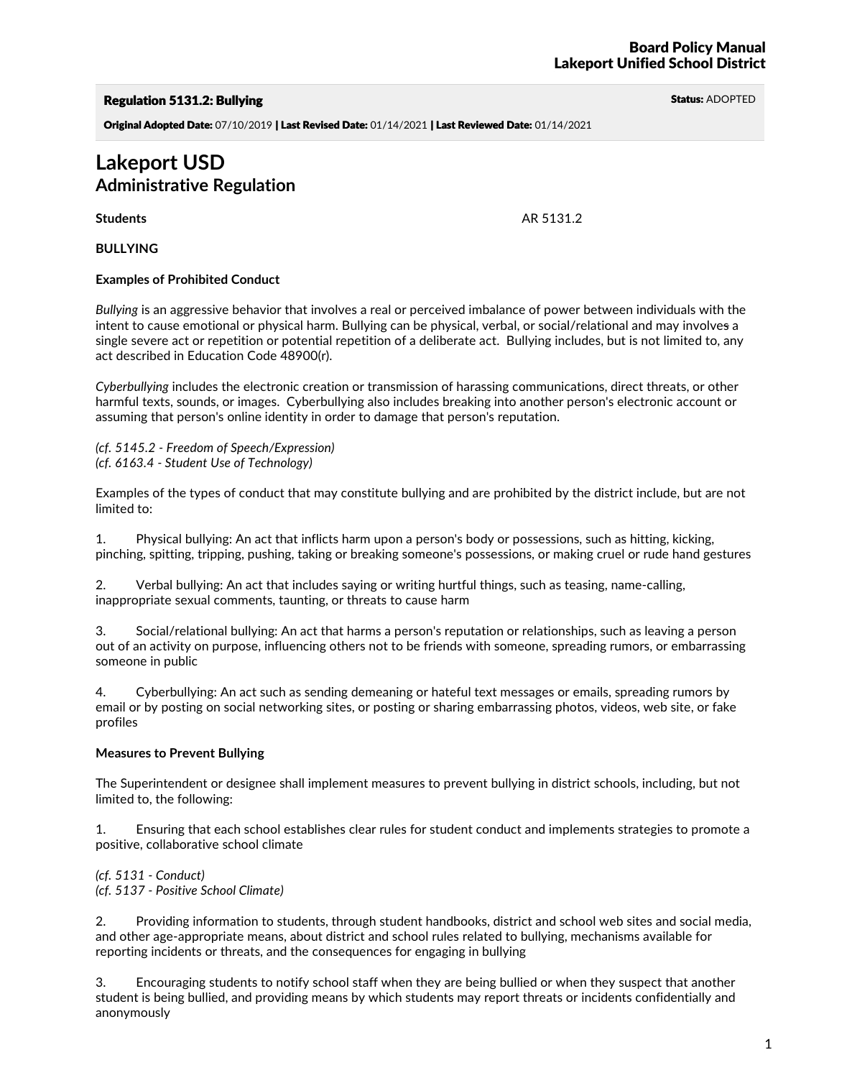# Regulation 5131.2: Bullying Status: ADOPTED And Status: ADOPTED And Status: ADOPTED

Original Adopted Date: 07/10/2019 | Last Revised Date: 01/14/2021 | Last Reviewed Date: 01/14/2021

# **Lakeport USD Administrative Regulation**

**BULLYING**

# **Examples of Prohibited Conduct**

*Bullying* is an aggressive behavior that involves a real or perceived imbalance of power between individuals with the intent to cause emotional or physical harm. Bullying can be physical, verbal, or social/relational and may involves a single severe act or repetition or potential repetition of a deliberate act. Bullying includes, but is not limited to, any act described in Education Code 48900(r).

*Cyberbullying* includes the electronic creation or transmission of harassing communications, direct threats, or other harmful texts, sounds, or images. Cyberbullying also includes breaking into another person's electronic account or assuming that person's online identity in order to damage that person's reputation.

*(cf. 5145.2 - Freedom of Speech/Expression) (cf. 6163.4 - Student Use of Technology)*

Examples of the types of conduct that may constitute bullying and are prohibited by the district include, but are not limited to:

1. Physical bullying: An act that inflicts harm upon a person's body or possessions, such as hitting, kicking, pinching, spitting, tripping, pushing, taking or breaking someone's possessions, or making cruel or rude hand gestures

2. Verbal bullying: An act that includes saying or writing hurtful things, such as teasing, name-calling, inappropriate sexual comments, taunting, or threats to cause harm

3. Social/relational bullying: An act that harms a person's reputation or relationships, such as leaving a person out of an activity on purpose, influencing others not to be friends with someone, spreading rumors, or embarrassing someone in public

4. Cyberbullying: An act such as sending demeaning or hateful text messages or emails, spreading rumors by email or by posting on social networking sites, or posting or sharing embarrassing photos, videos, web site, or fake profiles

# **Measures to Prevent Bullying**

The Superintendent or designee shall implement measures to prevent bullying in district schools, including, but not limited to, the following:

1. Ensuring that each school establishes clear rules for student conduct and implements strategies to promote a positive, collaborative school climate

*(cf. 5131 - Conduct) (cf. 5137 - Positive School Climate)*

2. Providing information to students, through student handbooks, district and school web sites and social media, and other age-appropriate means, about district and school rules related to bullying, mechanisms available fo reporting incidents or threats, and the consequences for engaging in bullying

3. Encouraging students to notify school staff when they are being bullied or when they suspect that another student is being bullied, and providing means by which students may report threats or incidents confidentially and anonymously

**Students** AR 5131.2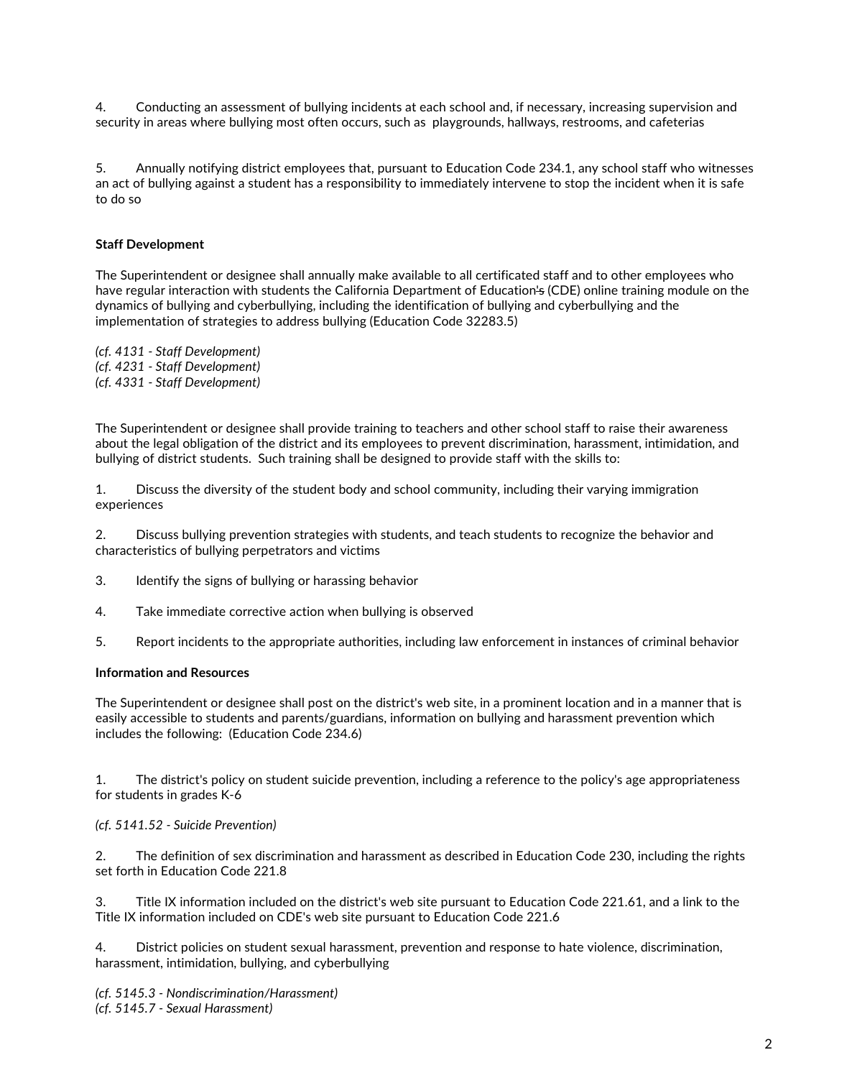4. Conducting an assessment of bullying incidents at each school and, if necessary, increasing supervision and security in areas where bullying most often occurs, such as playgrounds, hallways, restrooms, and cafeterias

5. Annually notifying district employees that, pursuant to Education Code 234.1, any school staff who witnesses an act of bullying against a student has a responsibility to immediately intervene to stop the incident when it is safe to do so

# **Staff Development**

The Superintendent or designee shall annually make available to all certificated staff and to other employees who have regular interaction with students the California Department of Education<del>'s</del> (CDE) online training module on the dynamics of bullying and cyberbullying, including the identification of bullying and cyberbullying and the implementation of strategies to address bullying (Education Code 32283.5)

*(cf. 4131 - Staff Development) (cf. 4231 - Staff Development) (cf. 4331 - Staff Development)*

The Superintendent or designee shall provide training to teachers and other school staff to raise their awareness about the legal obligation of the district and its employees to prevent discrimination, harassment, intimidation, and bullying of district students. Such training shall be designed to provide staff with the skills to:

1. Discuss the diversity of the student body and school community, including their varying immigration experiences

2. Discuss bullying prevention strategies with students, and teach students to recognize the behavior and characteristics of bullying perpetrators and victims

- 3. Identify the signs of bullying or harassing behavior
- 4. Take immediate corrective action when bullying is observed
- 5. Report incidents to the appropriate authorities, including law enforcement in instances of criminal behavior

#### **Information and Resources**

The Superintendent or designee shall post on the district's web site, in a prominent location and in a manner that is easily accessible to students and parents/guardians, information on bullying and harassment prevention which includes the following: (Education Code 234.6)

1. The district's policy on student suicide prevention, including a reference to the policy's age appropriateness for students in grades K-6

# *(cf. 5141.52 - Suicide Prevention)*

2. The definition of sex discrimination and harassment as described in Education Code 230, including the rights set forth in Education Code 221.8

3. Title IX information included on the district's web site pursuant to Education Code 221.61, and a link to the Title IX information included on CDE's web site pursuant to Education Code 221.6

4. District policies on student sexual harassment, prevention and response to hate violence, discrimination, harassment, intimidation, bullying, and cyberbullying

*(cf. 5145.3 - Nondiscrimination/Harassment) (cf. 5145.7 - Sexual Harassment)*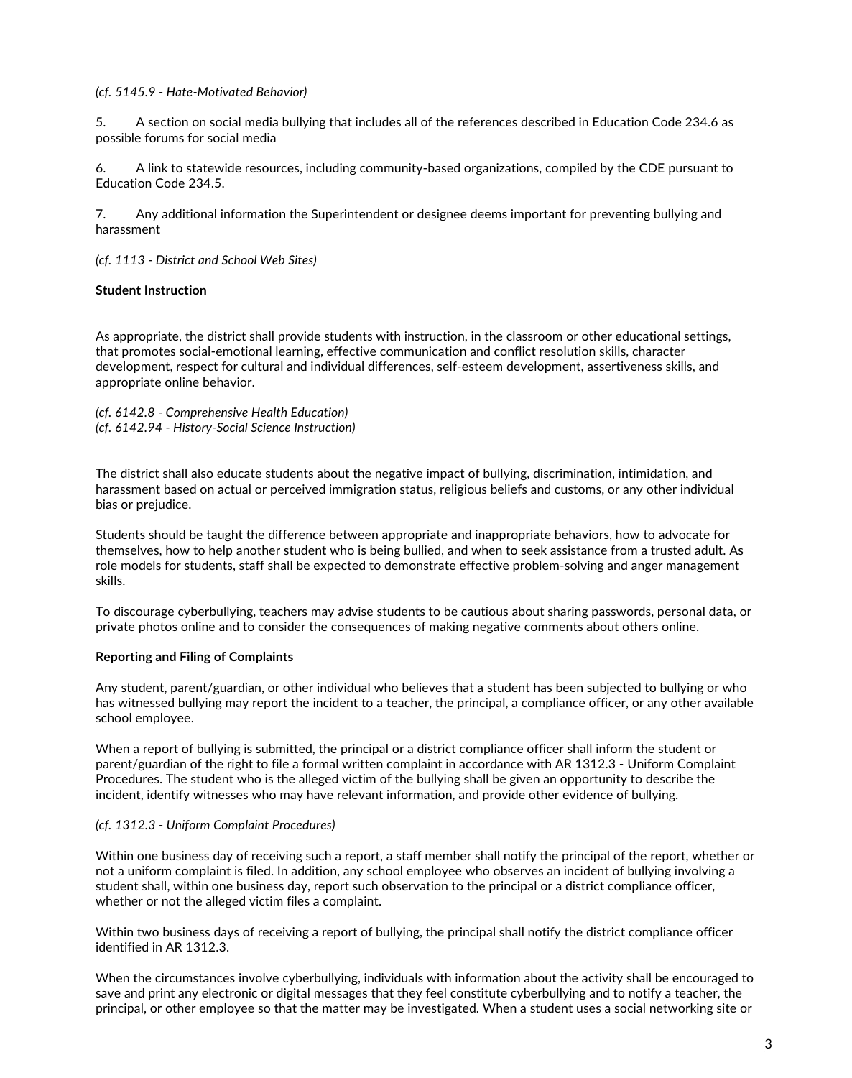# *(cf. 5145.9 - Hate-Motivated Behavior)*

5. A section on social media bullying that includes all of the references described in Education Code 234.6 as possible forums for social media

6. A link to statewide resources, including community-based organizations, compiled by the CDE pursuant to Education Code 234.5.

7. Any additional information the Superintendent or designee deems important for preventing bullying and harassment

*(cf. 1113 - District and School Web Sites)*

#### **Student Instruction**

As appropriate, the district shall provide students with instruction, in the classroom or other educational settings, that promotes social-emotional learning, effective communication and conflict resolution skills, character development, respect for cultural and individual differences, self-esteem development, assertiveness skills, and appropriate online behavior.

*(cf. 6142.8 - Comprehensive Health Education) (cf. 6142.94 - History-Social Science Instruction)*

The district shall also educate students about the negative impact of bullying, discrimination, intimidation, and harassment based on actual or perceived immigration status, religious beliefs and customs, or any other individual bias or prejudice.

Students should be taught the difference between appropriate and inappropriate behaviors, how to advocate for themselves, how to help another student who is being bullied, and when to seek assistance from a trusted adult. As role models for students, staff shall be expected to demonstrate effective problem-solving and anger management skills.

To discourage cyberbullying, teachers may advise students to be cautious about sharing passwords, personal data, or private photos online and to consider the consequences of making negative comments about others online.

#### **Reporting and Filing of Complaints**

Any student, parent/guardian, or other individual who believes that a student has been subjected to bullying or who has witnessed bullying may report the incident to a teacher, the principal, a compliance officer, or any other available school employee.

When a report of bullying is submitted, the principal or a district compliance officer shall inform the student or parent/guardian of the right to file a formal written complaint in accordance with AR 1312.3 - Uniform Complaint Procedures. The student who is the alleged victim of the bullying shall be given an opportunity to describe the incident, identify witnesses who may have relevant information, and provide other evidence of bullying.

#### *(cf. 1312.3 - Uniform Complaint Procedures)*

Within one business day of receiving such a report, a staff member shall notify the principal of the report, whether or not a uniform complaint is filed. In addition, any school employee who observes an incident of bullying involving a student shall, within one business day, report such observation to the principal or a district compliance officer, whether or not the alleged victim files a complaint.

Within two business days of receiving a report of bullying, the principal shall notify the district compliance officer identified in AR 1312.3.

When the circumstances involve cyberbullying, individuals with information about the activity shall be encouraged to save and print any electronic or digital messages that they feel constitute cyberbullying and to notify a teacher, the principal, or other employee so that the matter may be investigated. When a student uses a social networking site or